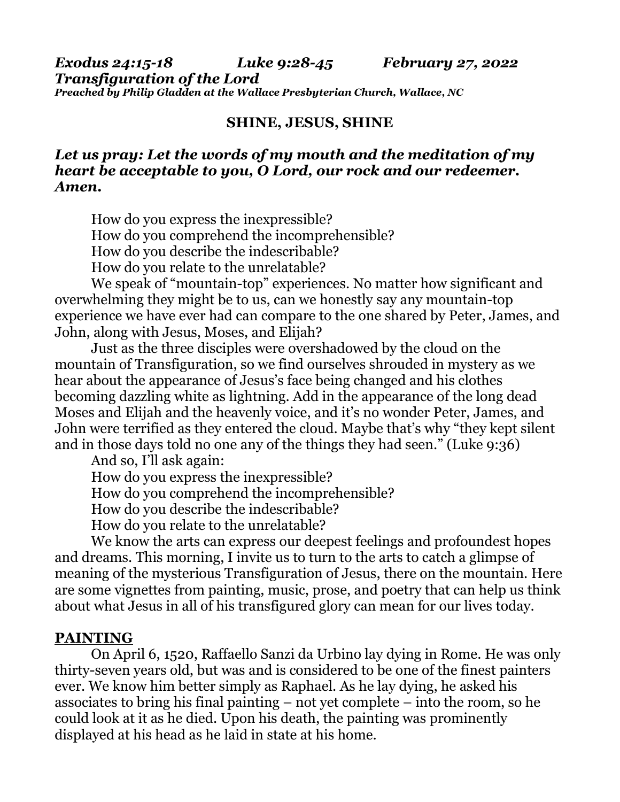*Exodus 24:15-18 Luke 9:28-45 February 27, 2022 Transfiguration of the Lord Preached by Philip Gladden at the Wallace Presbyterian Church, Wallace, NC* 

## **SHINE, JESUS, SHINE**

## *Let us pray: Let the words of my mouth and the meditation of my heart be acceptable to you, O Lord, our rock and our redeemer. Amen.*

How do you express the inexpressible?

How do you comprehend the incomprehensible?

How do you describe the indescribable?

How do you relate to the unrelatable?

 We speak of "mountain-top" experiences. No matter how significant and overwhelming they might be to us, can we honestly say any mountain-top experience we have ever had can compare to the one shared by Peter, James, and John, along with Jesus, Moses, and Elijah?

 Just as the three disciples were overshadowed by the cloud on the mountain of Transfiguration, so we find ourselves shrouded in mystery as we hear about the appearance of Jesus's face being changed and his clothes becoming dazzling white as lightning. Add in the appearance of the long dead Moses and Elijah and the heavenly voice, and it's no wonder Peter, James, and John were terrified as they entered the cloud. Maybe that's why "they kept silent and in those days told no one any of the things they had seen." (Luke 9:36)

And so, I'll ask again:

How do you express the inexpressible?

How do you comprehend the incomprehensible?

How do you describe the indescribable?

How do you relate to the unrelatable?

 We know the arts can express our deepest feelings and profoundest hopes and dreams. This morning, I invite us to turn to the arts to catch a glimpse of meaning of the mysterious Transfiguration of Jesus, there on the mountain. Here are some vignettes from painting, music, prose, and poetry that can help us think about what Jesus in all of his transfigured glory can mean for our lives today.

# **PAINTING**

 On April 6, 1520, Raffaello Sanzi da Urbino lay dying in Rome. He was only thirty-seven years old, but was and is considered to be one of the finest painters ever. We know him better simply as Raphael. As he lay dying, he asked his associates to bring his final painting – not yet complete – into the room, so he could look at it as he died. Upon his death, the painting was prominently displayed at his head as he laid in state at his home.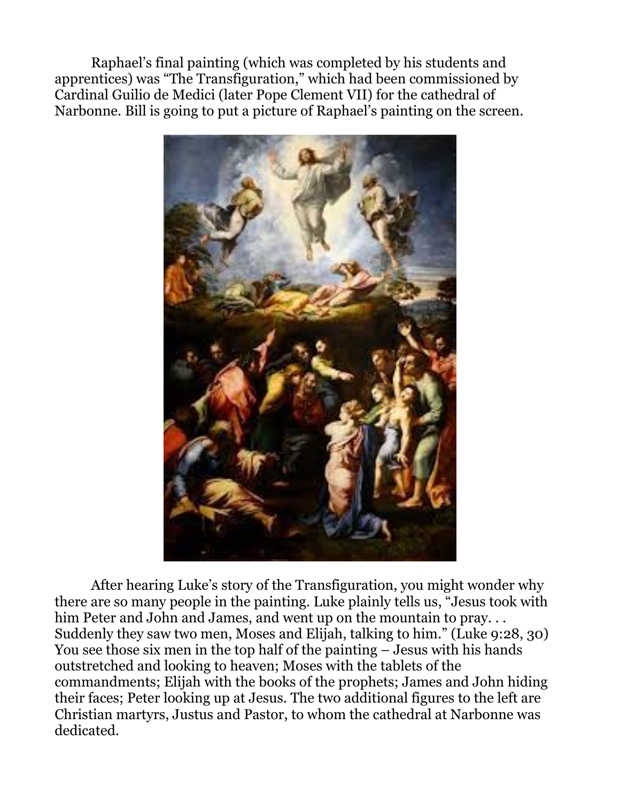Raphael's final painting (which was completed by his students and apprentices) was "The Transfiguration," which had been commissioned by Cardinal Guilio de Medici (later Pope Clement VII) for the cathedral of Narbonne. Bill is going to put a picture of Raphael's painting on the screen.



 After hearing Luke's story of the Transfiguration, you might wonder why there are so many people in the painting. Luke plainly tells us, "Jesus took with him Peter and John and James, and went up on the mountain to pray. . . Suddenly they saw two men, Moses and Elijah, talking to him." (Luke 9:28, 30) You see those six men in the top half of the painting – Jesus with his hands outstretched and looking to heaven; Moses with the tablets of the commandments; Elijah with the books of the prophets; James and John hiding their faces; Peter looking up at Jesus. The two additional figures to the left are Christian martyrs, Justus and Pastor, to whom the cathedral at Narbonne was dedicated.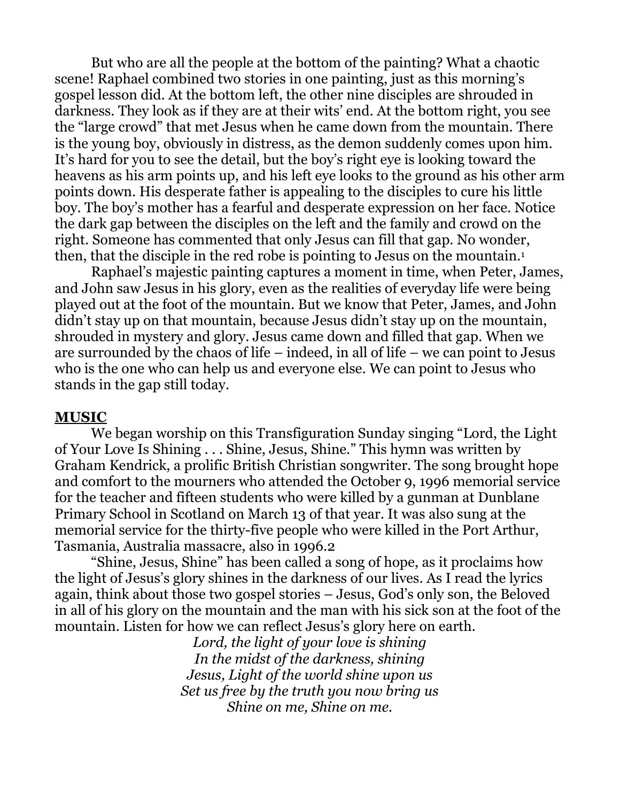But who are all the people at the bottom of the painting? What a chaotic scene! Raphael combined two stories in one painting, just as this morning's gospel lesson did. At the bottom left, the other nine disciples are shrouded in darkness. They look as if they are at their wits' end. At the bottom right, you see the "large crowd" that met Jesus when he came down from the mountain. There is the young boy, obviously in distress, as the demon suddenly comes upon him. It's hard for you to see the detail, but the boy's right eye is looking toward the heavens as his arm points up, and his left eye looks to the ground as his other arm points down. His desperate father is appealing to the disciples to cure his little boy. The boy's mother has a fearful and desperate expression on her face. Notice the dark gap between the disciples on the left and the family and crowd on the right. Someone has commented that only Jesus can fill that gap. No wonder, then, that the disciple in the red robe is pointing to Jesus on the mountain.<sup>1</sup>

 Raphael's majestic painting captures a moment in time, when Peter, James, and John saw Jesus in his glory, even as the realities of everyday life were being played out at the foot of the mountain. But we know that Peter, James, and John didn't stay up on that mountain, because Jesus didn't stay up on the mountain, shrouded in mystery and glory. Jesus came down and filled that gap. When we are surrounded by the chaos of life – indeed, in all of life – we can point to Jesus who is the one who can help us and everyone else. We can point to Jesus who stands in the gap still today.

### **MUSIC**

 We began worship on this Transfiguration Sunday singing "Lord, the Light of Your Love Is Shining . . . Shine, Jesus, Shine." This hymn was written by Graham Kendrick, a prolific British Christian songwriter. The song brought hope and comfort to the mourners who attended the October 9, 1996 memorial service for the teacher and fifteen students who were killed by a gunman at Dunblane Primary School in Scotland on March 13 of that year. It was also sung at the memorial service for the thirty-five people who were killed in the Port Arthur, Tasmania, Australia massacre, also in 1996.2

 "Shine, Jesus, Shine" has been called a song of hope, as it proclaims how the light of Jesus's glory shines in the darkness of our lives. As I read the lyrics again, think about those two gospel stories – Jesus, God's only son, the Beloved in all of his glory on the mountain and the man with his sick son at the foot of the mountain. Listen for how we can reflect Jesus's glory here on earth.

> *Lord, the light of your love is shining In the midst of the darkness, shining Jesus, Light of the world shine upon us Set us free by the truth you now bring us Shine on me, Shine on me.*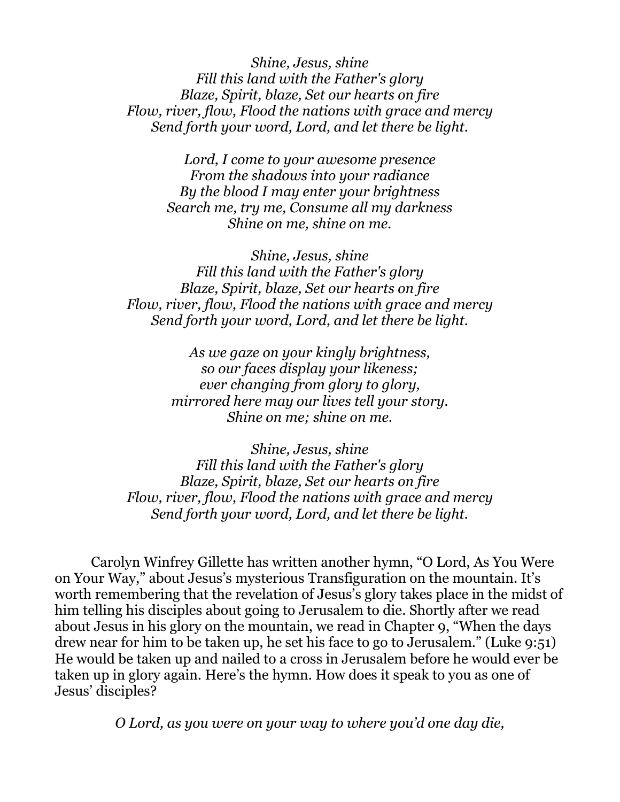*Shine, Jesus, shine Fill this land with the Father's glory Blaze, Spirit, blaze, Set our hearts on fire Flow, river, flow, Flood the nations with grace and mercy Send forth your word, Lord, and let there be light.*

> *Lord, I come to your awesome presence From the shadows into your radiance By the blood I may enter your brightness Search me, try me, Consume all my darkness Shine on me, shine on me.*

*Shine, Jesus, shine Fill this land with the Father's glory Blaze, Spirit, blaze, Set our hearts on fire Flow, river, flow, Flood the nations with grace and mercy Send forth your word, Lord, and let there be light.*

> *As we gaze on your kingly brightness, so our faces display your likeness; ever changing from glory to glory, mirrored here may our lives tell your story. Shine on me; shine on me.*

*Shine, Jesus, shine Fill this land with the Father's glory Blaze, Spirit, blaze, Set our hearts on fire Flow, river, flow, Flood the nations with grace and mercy Send forth your word, Lord, and let there be light.*

 Carolyn Winfrey Gillette has written another hymn, "O Lord, As You Were on Your Way," about Jesus's mysterious Transfiguration on the mountain. It's worth remembering that the revelation of Jesus's glory takes place in the midst of him telling his disciples about going to Jerusalem to die. Shortly after we read about Jesus in his glory on the mountain, we read in Chapter 9, "When the days drew near for him to be taken up, he set his face to go to Jerusalem." (Luke 9:51) He would be taken up and nailed to a cross in Jerusalem before he would ever be taken up in glory again. Here's the hymn. How does it speak to you as one of Jesus' disciples?

*O Lord, as you were on your way to where you'd one day die,*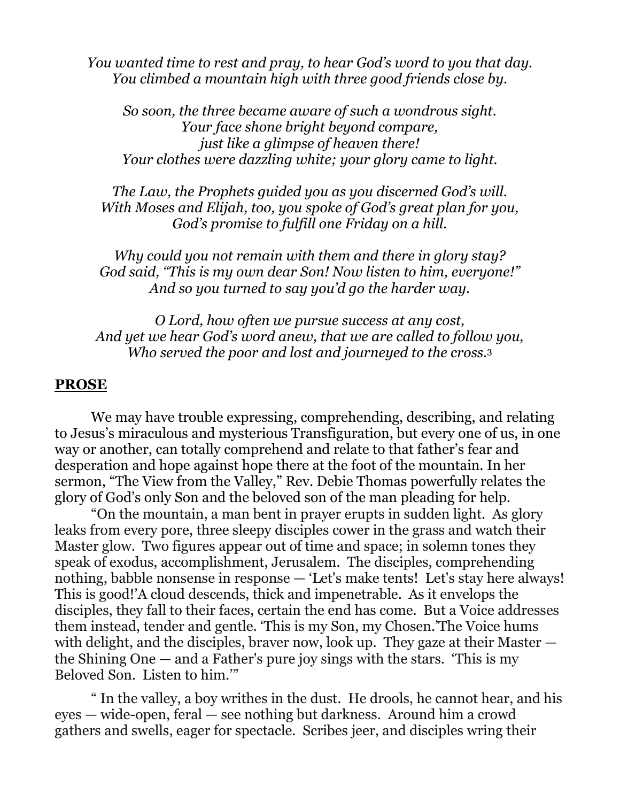*You wanted time to rest and pray, to hear God's word to you that day. You climbed a mountain high with three good friends close by.* 

*So soon, the three became aware of such a wondrous sight. Your face shone bright beyond compare, just like a glimpse of heaven there! Your clothes were dazzling white; your glory came to light.* 

*The Law, the Prophets guided you as you discerned God's will. With Moses and Elijah, too, you spoke of God's great plan for you, God's promise to fulfill one Friday on a hill.* 

*Why could you not remain with them and there in glory stay? God said, "This is my own dear Son! Now listen to him, everyone!" And so you turned to say you'd go the harder way.* 

*O Lord, how often we pursue success at any cost, And yet we hear God's word anew, that we are called to follow you, Who served the poor and lost and journeyed to the cross.*<sup>3</sup>

#### **PROSE**

 We may have trouble expressing, comprehending, describing, and relating to Jesus's miraculous and mysterious Transfiguration, but every one of us, in one way or another, can totally comprehend and relate to that father's fear and desperation and hope against hope there at the foot of the mountain. In her sermon, "The View from the Valley," Rev. Debie Thomas powerfully relates the glory of God's only Son and the beloved son of the man pleading for help.

"On the mountain, a man bent in prayer erupts in sudden light. As glory leaks from every pore, three sleepy disciples cower in the grass and watch their Master glow. Two figures appear out of time and space; in solemn tones they speak of exodus, accomplishment, Jerusalem. The disciples, comprehending nothing, babble nonsense in response — 'Let's make tents! Let's stay here always! This is good!'A cloud descends, thick and impenetrable. As it envelops the disciples, they fall to their faces, certain the end has come. But a Voice addresses them instead, tender and gentle. 'This is my Son, my Chosen.'The Voice hums with delight, and the disciples, braver now, look up. They gaze at their Master the Shining One — and a Father's pure joy sings with the stars. 'This is my Beloved Son. Listen to him.'"

" In the valley, a boy writhes in the dust. He drools, he cannot hear, and his eyes — wide-open, feral — see nothing but darkness. Around him a crowd gathers and swells, eager for spectacle. Scribes jeer, and disciples wring their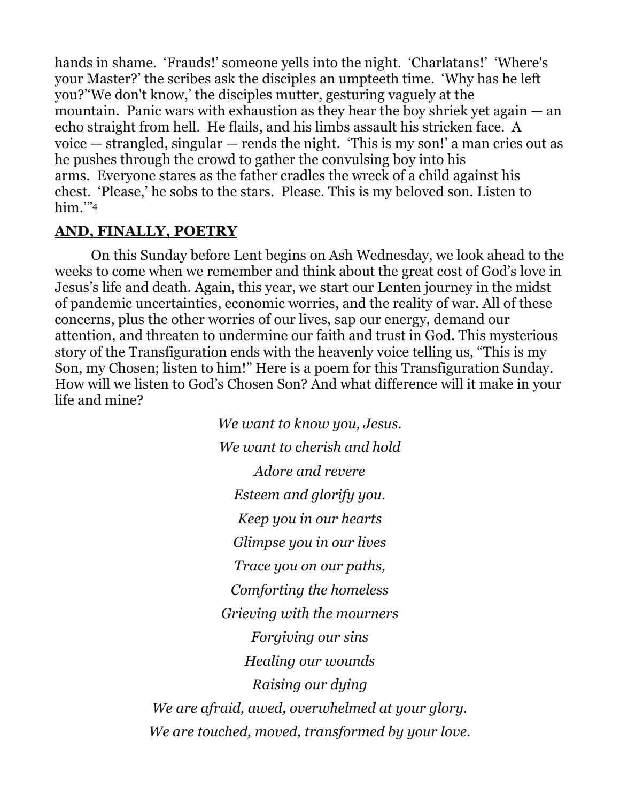hands in shame. 'Frauds!' someone yells into the night. 'Charlatans!' 'Where's your Master?' the scribes ask the disciples an umpteeth time. 'Why has he left you?''We don't know,' the disciples mutter, gesturing vaguely at the mountain. Panic wars with exhaustion as they hear the boy shriek yet again — an echo straight from hell. He flails, and his limbs assault his stricken face. A voice — strangled, singular — rends the night. 'This is my son!' a man cries out as he pushes through the crowd to gather the convulsing boy into his arms. Everyone stares as the father cradles the wreck of a child against his chest. 'Please,' he sobs to the stars. Please. This is my beloved son. Listen to  $him. "4"$ 

### **AND, FINALLY, POETRY**

 On this Sunday before Lent begins on Ash Wednesday, we look ahead to the weeks to come when we remember and think about the great cost of God's love in Jesus's life and death. Again, this year, we start our Lenten journey in the midst of pandemic uncertainties, economic worries, and the reality of war. All of these concerns, plus the other worries of our lives, sap our energy, demand our attention, and threaten to undermine our faith and trust in God. This mysterious story of the Transfiguration ends with the heavenly voice telling us, "This is my Son, my Chosen; listen to him!" Here is a poem for this Transfiguration Sunday. How will we listen to God's Chosen Son? And what difference will it make in your life and mine?

> *We want to know you, Jesus. We want to cherish and hold Adore and revere Esteem and glorify you. Keep you in our hearts Glimpse you in our lives Trace you on our paths, Comforting the homeless Grieving with the mourners Forgiving our sins Healing our wounds Raising our dying We are afraid, awed, overwhelmed at your glory. We are touched, moved, transformed by your love.*